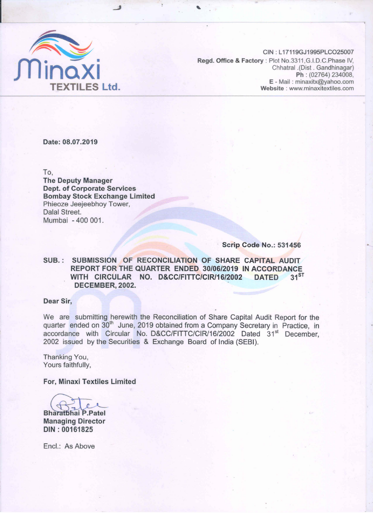

CIN: L17119GJ1995PLCO25007 Regd. Office & Factory: Plot No.3311, G.I.D.C. Phase IV, Chhatral .(Dist . Gandhinagar) **Ph** : (02764) 234008,<br>**E** - Mail : minaxitx@yahoo.com **XTILES Ltd.** Website : www.minaxitextiles.com

Date: 08.07.2019

To,

The Deputy Manager Dept. of Corporate Services Bombay Stock Exchange Limited Phieoze Jeejeebhoy Tower, Dalal Street. Mumbai - 400 001.

Scrip Code No.: 531456

# SUB.: SUBMISSION OF RECONCILIATION OF SHARE CAPITAL AUDIT REPORT FOR THE QUARTER ENDED 30/06/2019 IN ACCORDANCE WITH CIRCULAR NO. D&CC/FITTC/CIR/16/2002 DATED 31ST DECEMBER, 2002.

### Dear Sir,

We are submitting herewith the Reconciliation of Share Capital Audit Report for the quarter ended on 30<sup>th</sup> June, 2019 obtained from a Company Secretary in Practice, in accordance with Circular No. D&CC/FITTC/CIR/16/2002 Dated 31<sup>st</sup> December, 2002 issued by the Securities & Exchange Board of India (SEBI).

Thanking You, Yours faithfully,

For, Minaxi Textiles Limited

or, Minaxi Textiles Limited<br>
aratbhai P.Patel<br>
anaging Director

**Bharatbhai P.Patel Managing Director** DIN: 00161825

Encl.: As Above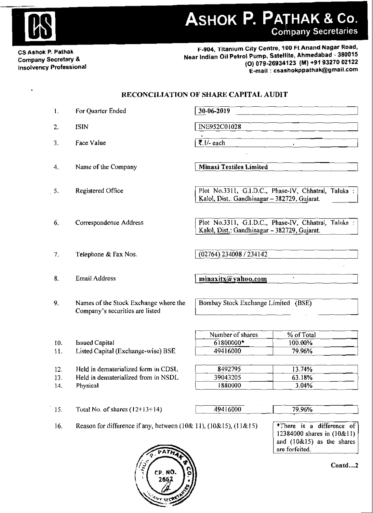

 $\pmb{\Delta}$ 

# ASHOK P. PATHAK & Co.

CS Ashok P. Pathak Company Secretary & Insolvency Professional

F-904, Titanium City Centre, 100 Ft Anand Nagar Road, Near Indian Oil Petrol Pump. Satellite, Ahmedabad - 380015 (0) 079·26934123 (M) +91 9327002122 E-mail: csashokppathak@gmail.com

# RECONCILIATION OF SHARE CAPITAL AUDIT

| 1.  | For Quarter Ended                                                        | 30-06-2019                                                                                           |                                                                                                          |  |
|-----|--------------------------------------------------------------------------|------------------------------------------------------------------------------------------------------|----------------------------------------------------------------------------------------------------------|--|
| 2.  | <b>ISIN</b>                                                              | INE952C01028                                                                                         |                                                                                                          |  |
| 3.  | Face Value                                                               | $\overline{\overline{\xi}}$ . 1/- each                                                               |                                                                                                          |  |
|     |                                                                          |                                                                                                      |                                                                                                          |  |
| 4.  | Name of the Company                                                      | <b>Minaxi Textiles Limited</b>                                                                       |                                                                                                          |  |
| 5.  | Registered Office                                                        | Plot No.3311, G.I.D.C., Phase-IV, Chhatral, Taluka :<br>Kalol, Dist.: Gandhinagar - 382729, Gujarat. |                                                                                                          |  |
| 6.  | Correspondence Address                                                   | Plot No.3311, G.I.D.C., Phase-IV, Chhatral, Taluka :<br>Kalol, Dist.: Gandhinagar - 382729, Gujarat. |                                                                                                          |  |
| 7.  | Telephone & Fax Nos.                                                     | (02764) 234008 / 234142                                                                              |                                                                                                          |  |
| 8.  | Email Address                                                            | minaxitx@yahoo.com                                                                                   |                                                                                                          |  |
| 9.  | Names of the Stock Exchange where the<br>Company's securities are listed | Bombay Stock Exchange Limited (BSE)                                                                  |                                                                                                          |  |
|     |                                                                          | Number of shares                                                                                     | % of Total                                                                                               |  |
| 10. | <b>Issued Capital</b>                                                    | 61800000*                                                                                            | 100.00%                                                                                                  |  |
| 11. | Listed Capital (Exchange-wise) BSE                                       | 49416000                                                                                             | 79.96%                                                                                                   |  |
| 12. | Held in dematerialized form in CDSL                                      | 8492795                                                                                              | 13.74%                                                                                                   |  |
| 13. | Held in dematerialized from in NSDL                                      | 39043205                                                                                             | 63.18%                                                                                                   |  |
| 14. | Physical                                                                 | 1880000                                                                                              | 3.04%                                                                                                    |  |
| 15. | Total No. of shares $(12+13+14)$                                         | 49416000                                                                                             | 79.96%                                                                                                   |  |
| 16. | Reason for difference if any, between $(10&11)$ , $(10&15)$ , $(11&15)$  |                                                                                                      | *There is a difference of<br>12384000 shares in (10&11)<br>and $(10&15)$ as the shares<br>are forfeited. |  |



Contd...2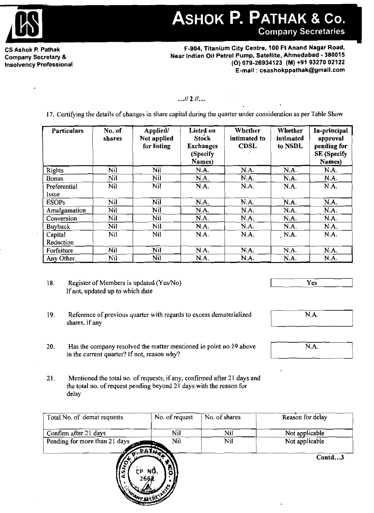

ASHOK P. PATHAK & Co. **Company Secretaries** 

CS Ashok P. Pathak Company Secretary & Insolvency Professional

F-904, Titanium City Centre, 100 Ft Anand Nagar Road, Near Indian Oil Petrol Pump, Satellite, Ahmedabad - 380015 (0) 079-26934123 (M) +91 9327002122 E-mail: csashokppathak@gmail.com

# •• *.11211 •••*

17. Certifying the details of changes in share capital during the quarter under consideration as per Table Show

| <b>Particulars</b>    | No. of<br>shares | Applied/<br>Not applied<br>for listing | Listed on<br><b>Stock</b><br><b>Exchanges</b><br>(Specify<br>Names) | Whether<br>intimated to<br><b>CDSL</b> | Whether<br>intimated<br>to NSDL | In-principal<br>approval<br>pending for<br>SE (Specify<br>Names) |
|-----------------------|------------------|----------------------------------------|---------------------------------------------------------------------|----------------------------------------|---------------------------------|------------------------------------------------------------------|
| Rights                | Nil              | Nil                                    | N.A.                                                                | N.A.                                   | N.A.                            | N.A.                                                             |
| <b>Bonus</b>          | Nil              | Nil                                    | N.A.                                                                | N.A.                                   | N.A.                            | N.A.                                                             |
| Preferential<br>Issue | Nil              | Nil                                    | N.A.                                                                | N.A.                                   | N.A.                            | N.A.                                                             |
| <b>ESOPs</b>          | Nil              | Nil                                    | N.A.                                                                | N.A.                                   | N.A.                            | N.A.                                                             |
| Amalgamation          | Nil              | Nil                                    | N.A.                                                                | N.A.                                   | N.A.                            | N.A.                                                             |
| Conversion            | Nil              | N <sub>1</sub>                         | N.A.                                                                | N.A.                                   | N.A.                            | N.A.                                                             |
| <b>Buyback</b>        | Nil              | Nil                                    | N.A.                                                                | N.A.                                   | $NA$ .                          | N.A.                                                             |
| Capital<br>Reduction  | Nil              | Nil                                    | N.A.                                                                | N.A.                                   | N.A.                            | N.A.                                                             |
| Forfeiture            | Nil              | Nil                                    | N.A.                                                                | N.A.                                   | N.A.                            | N.A.                                                             |
| Any Other             | Nil              | Nil                                    | N.A.                                                                | N.A.                                   | N.A.                            | N.A.                                                             |

18. Register of Members is updated (Yes/No) Ifnot, updated up to which date

- $\overline{\mathrm{Yes}}$
- 19. Reference of previous quarter with regards to excess dematerialized shares, if any
- 20. Has the company resolved the matter mentioned in point no.19 above in the current quarter? If not, reason why?
- 21. Mentioned the total no. of requests, if any, confirmed after 21 days and the total no. of request pending beyond 21 days with the reason for delay

| Total No. of demat requests   | No. of request                   | No. of shares | Reason for delay |
|-------------------------------|----------------------------------|---------------|------------------|
| Confirm after 21 days         | Nil                              | Nil           | Not applicable   |
| Pending for more than 21 days | Nil                              | Nil           | Not applicable   |
| v<br>- 1                      | РАТЕ<br>CP NQ.<br>2662<br>ルー・レビー |               | Contd3           |



[ N.A.

N.A.<br>—————————